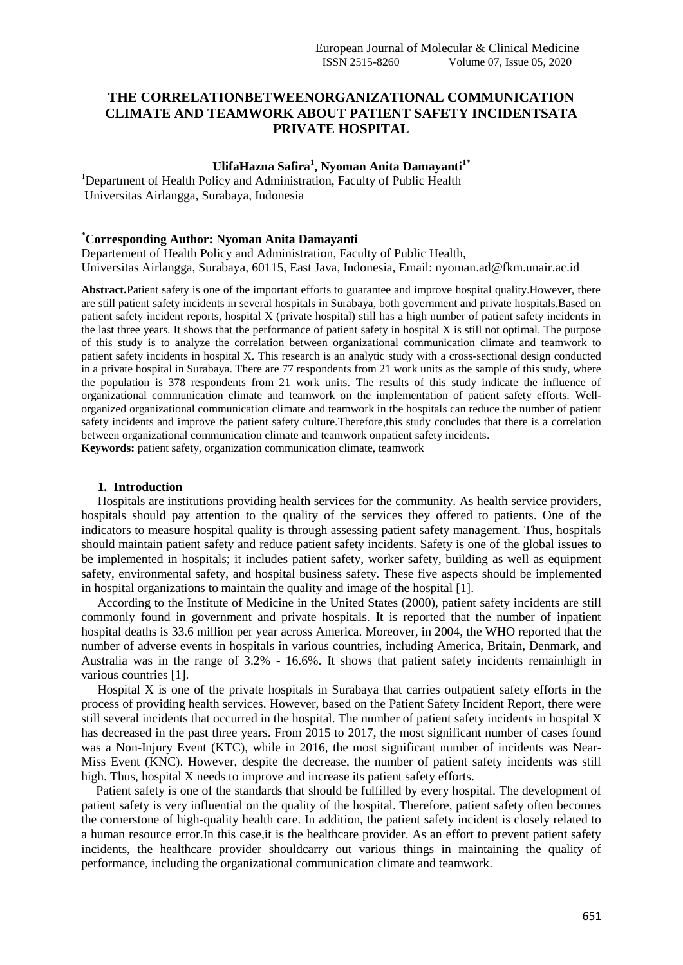# **THE CORRELATIONBETWEENORGANIZATIONAL COMMUNICATION CLIMATE AND TEAMWORK ABOUT PATIENT SAFETY INCIDENTSATA PRIVATE HOSPITAL**

## **UlifaHazna Safira<sup>1</sup> , Nyoman Anita Damayanti1\***

<sup>1</sup>Department of Health Policy and Administration, Faculty of Public Health Universitas Airlangga, Surabaya, Indonesia

#### **\*Corresponding Author: Nyoman Anita Damayanti**

Departement of Health Policy and Administration, Faculty of Public Health, Universitas Airlangga, Surabaya, 60115, East Java, Indonesia, Email: nyoman.ad@fkm.unair.ac.id

**Abstract.**Patient safety is one of the important efforts to guarantee and improve hospital quality.However, there are still patient safety incidents in several hospitals in Surabaya, both government and private hospitals.Based on patient safety incident reports, hospital X (private hospital) still has a high number of patient safety incidents in the last three years. It shows that the performance of patient safety in hospital X is still not optimal. The purpose of this study is to analyze the correlation between organizational communication climate and teamwork to patient safety incidents in hospital X. This research is an analytic study with a cross-sectional design conducted in a private hospital in Surabaya. There are 77 respondents from 21 work units as the sample of this study, where the population is 378 respondents from 21 work units. The results of this study indicate the influence of organizational communication climate and teamwork on the implementation of patient safety efforts. Wellorganized organizational communication climate and teamwork in the hospitals can reduce the number of patient safety incidents and improve the patient safety culture.Therefore,this study concludes that there is a correlation between organizational communication climate and teamwork onpatient safety incidents.

**Keywords:** patient safety, organization communication climate, teamwork

#### **1. Introduction**

Hospitals are institutions providing health services for the community. As health service providers, hospitals should pay attention to the quality of the services they offered to patients. One of the indicators to measure hospital quality is through assessing patient safety management. Thus, hospitals should maintain patient safety and reduce patient safety incidents. Safety is one of the global issues to be implemented in hospitals; it includes patient safety, worker safety, building as well as equipment safety, environmental safety, and hospital business safety. These five aspects should be implemented in hospital organizations to maintain the quality and image of the hospital [1].

According to the Institute of Medicine in the United States (2000), patient safety incidents are still commonly found in government and private hospitals. It is reported that the number of inpatient hospital deaths is 33.6 million per year across America. Moreover, in 2004, the WHO reported that the number of adverse events in hospitals in various countries, including America, Britain, Denmark, and Australia was in the range of 3.2% - 16.6%. It shows that patient safety incidents remainhigh in various countries [1].

Hospital X is one of the private hospitals in Surabaya that carries outpatient safety efforts in the process of providing health services. However, based on the Patient Safety Incident Report, there were still several incidents that occurred in the hospital. The number of patient safety incidents in hospital X has decreased in the past three years. From 2015 to 2017, the most significant number of cases found was a Non-Injury Event (KTC), while in 2016, the most significant number of incidents was Near-Miss Event (KNC). However, despite the decrease, the number of patient safety incidents was still high. Thus, hospital X needs to improve and increase its patient safety efforts.

Patient safety is one of the standards that should be fulfilled by every hospital. The development of patient safety is very influential on the quality of the hospital. Therefore, patient safety often becomes the cornerstone of high-quality health care. In addition, the patient safety incident is closely related to a human resource error.In this case,it is the healthcare provider. As an effort to prevent patient safety incidents, the healthcare provider shouldcarry out various things in maintaining the quality of performance, including the organizational communication climate and teamwork.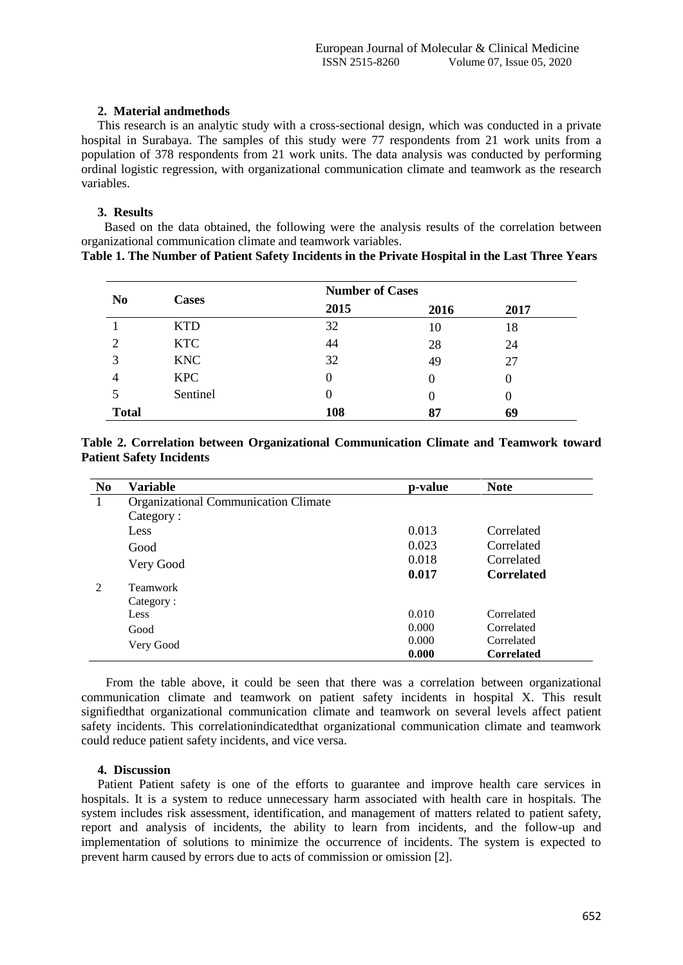### **2. Material andmethods**

This research is an analytic study with a cross-sectional design, which was conducted in a private hospital in Surabaya. The samples of this study were 77 respondents from 21 work units from a population of 378 respondents from 21 work units. The data analysis was conducted by performing ordinal logistic regression, with organizational communication climate and teamwork as the research variables.

## **3. Results**

Based on the data obtained, the following were the analysis results of the correlation between organizational communication climate and teamwork variables.

|  |  | and the contract of the contract of the contract of the contract of the contract of the contract of the contract of the contract of the contract of the contract of the contract of the contract of the contract of the contra |                                                                                                        |  |  |
|--|--|--------------------------------------------------------------------------------------------------------------------------------------------------------------------------------------------------------------------------------|--------------------------------------------------------------------------------------------------------|--|--|
|  |  |                                                                                                                                                                                                                                | <b>Table 1. The Number of Patient Safety Incidents in the Private Hospital in the Last Three Years</b> |  |  |
|  |  |                                                                                                                                                                                                                                |                                                                                                        |  |  |
|  |  |                                                                                                                                                                                                                                |                                                                                                        |  |  |
|  |  |                                                                                                                                                                                                                                |                                                                                                        |  |  |

| N <sub>0</sub> | <b>Cases</b> | <b>Number of Cases</b> |      |      |  |  |
|----------------|--------------|------------------------|------|------|--|--|
|                |              | 2015                   | 2016 | 2017 |  |  |
|                | <b>KTD</b>   | 32                     | 10   | 18   |  |  |
| $\overline{2}$ | <b>KTC</b>   | 44                     | 28   | 24   |  |  |
| 3              | <b>KNC</b>   | 32                     | 49   | 27   |  |  |
| $\overline{4}$ | <b>KPC</b>   |                        | 0    | 0    |  |  |
| 5              | Sentinel     |                        | 0    |      |  |  |
| <b>Total</b>   |              | 108                    | 87   | 69   |  |  |

| Table 2. Correlation between Organizational Communication Climate and Teamwork toward |  |  |  |  |
|---------------------------------------------------------------------------------------|--|--|--|--|
| <b>Patient Safety Incidents</b>                                                       |  |  |  |  |

| N <sub>0</sub> | Variable                                    | p-value | <b>Note</b>       |
|----------------|---------------------------------------------|---------|-------------------|
| 1              | <b>Organizational Communication Climate</b> |         |                   |
|                | Category:                                   |         |                   |
|                | Less                                        | 0.013   | Correlated        |
|                | Good                                        | 0.023   | Correlated        |
|                | Very Good                                   | 0.018   | Correlated        |
|                |                                             | 0.017   | <b>Correlated</b> |
| 2              | Teamwork                                    |         |                   |
|                | Category:                                   |         |                   |
|                | Less                                        | 0.010   | Correlated        |
|                | Good                                        | 0.000   | Correlated        |
|                | Very Good                                   | 0.000   | Correlated        |
|                |                                             | 0.000   | <b>Correlated</b> |

From the table above, it could be seen that there was a correlation between organizational communication climate and teamwork on patient safety incidents in hospital X. This result signifiedthat organizational communication climate and teamwork on several levels affect patient safety incidents. This correlationindicatedthat organizational communication climate and teamwork could reduce patient safety incidents, and vice versa.

### **4. Discussion**

Patient Patient safety is one of the efforts to guarantee and improve health care services in hospitals. It is a system to reduce unnecessary harm associated with health care in hospitals. The system includes risk assessment, identification, and management of matters related to patient safety, report and analysis of incidents, the ability to learn from incidents, and the follow-up and implementation of solutions to minimize the occurrence of incidents. The system is expected to prevent harm caused by errors due to acts of commission or omission [2].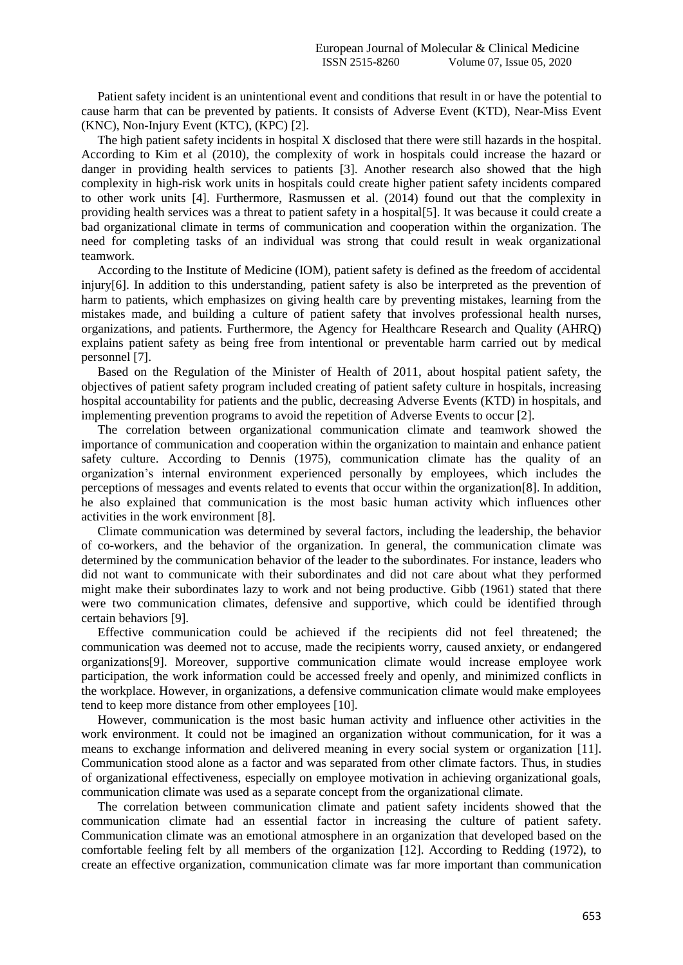Patient safety incident is an unintentional event and conditions that result in or have the potential to cause harm that can be prevented by patients. It consists of Adverse Event (KTD), Near-Miss Event (KNC), Non-Injury Event (KTC), (KPC) [2].

The high patient safety incidents in hospital X disclosed that there were still hazards in the hospital. According to Kim et al (2010), the complexity of work in hospitals could increase the hazard or danger in providing health services to patients [3]. Another research also showed that the high complexity in high-risk work units in hospitals could create higher patient safety incidents compared to other work units [4]. Furthermore, Rasmussen et al. (2014) found out that the complexity in providing health services was a threat to patient safety in a hospital[5]. It was because it could create a bad organizational climate in terms of communication and cooperation within the organization. The need for completing tasks of an individual was strong that could result in weak organizational teamwork.

According to the Institute of Medicine (IOM), patient safety is defined as the freedom of accidental injury[6]. In addition to this understanding, patient safety is also be interpreted as the prevention of harm to patients, which emphasizes on giving health care by preventing mistakes, learning from the mistakes made, and building a culture of patient safety that involves professional health nurses, organizations, and patients. Furthermore, the Agency for Healthcare Research and Quality (AHRQ) explains patient safety as being free from intentional or preventable harm carried out by medical personnel [7].

Based on the Regulation of the Minister of Health of 2011, about hospital patient safety, the objectives of patient safety program included creating of patient safety culture in hospitals, increasing hospital accountability for patients and the public, decreasing Adverse Events (KTD) in hospitals, and implementing prevention programs to avoid the repetition of Adverse Events to occur [2].

The correlation between organizational communication climate and teamwork showed the importance of communication and cooperation within the organization to maintain and enhance patient safety culture. According to Dennis (1975), communication climate has the quality of an organization's internal environment experienced personally by employees, which includes the perceptions of messages and events related to events that occur within the organization[8]. In addition, he also explained that communication is the most basic human activity which influences other activities in the work environment [8].

Climate communication was determined by several factors, including the leadership, the behavior of co-workers, and the behavior of the organization. In general, the communication climate was determined by the communication behavior of the leader to the subordinates. For instance, leaders who did not want to communicate with their subordinates and did not care about what they performed might make their subordinates lazy to work and not being productive. Gibb (1961) stated that there were two communication climates, defensive and supportive, which could be identified through certain behaviors [9].

Effective communication could be achieved if the recipients did not feel threatened; the communication was deemed not to accuse, made the recipients worry, caused anxiety, or endangered organizations[9]. Moreover, supportive communication climate would increase employee work participation, the work information could be accessed freely and openly, and minimized conflicts in the workplace. However, in organizations, a defensive communication climate would make employees tend to keep more distance from other employees [10].

However, communication is the most basic human activity and influence other activities in the work environment. It could not be imagined an organization without communication, for it was a means to exchange information and delivered meaning in every social system or organization [11]. Communication stood alone as a factor and was separated from other climate factors. Thus, in studies of organizational effectiveness, especially on employee motivation in achieving organizational goals, communication climate was used as a separate concept from the organizational climate.

The correlation between communication climate and patient safety incidents showed that the communication climate had an essential factor in increasing the culture of patient safety. Communication climate was an emotional atmosphere in an organization that developed based on the comfortable feeling felt by all members of the organization [12]. According to Redding (1972), to create an effective organization, communication climate was far more important than communication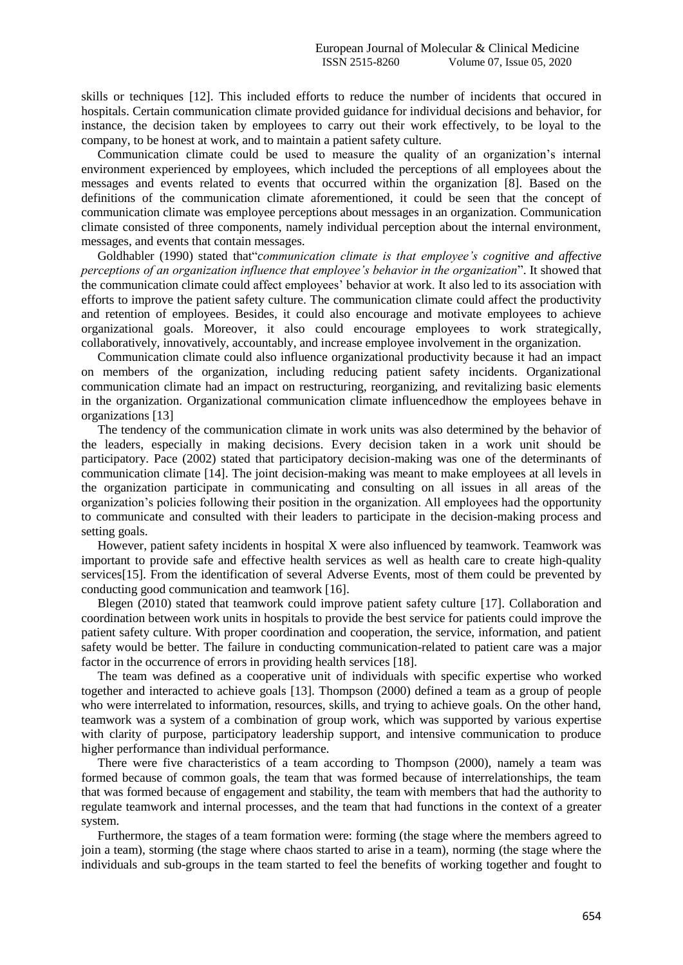skills or techniques [12]. This included efforts to reduce the number of incidents that occured in hospitals. Certain communication climate provided guidance for individual decisions and behavior, for instance, the decision taken by employees to carry out their work effectively, to be loyal to the company, to be honest at work, and to maintain a patient safety culture.

Communication climate could be used to measure the quality of an organization's internal environment experienced by employees, which included the perceptions of all employees about the messages and events related to events that occurred within the organization [8]. Based on the definitions of the communication climate aforementioned, it could be seen that the concept of communication climate was employee perceptions about messages in an organization. Communication climate consisted of three components, namely individual perception about the internal environment, messages, and events that contain messages.

Goldhabler (1990) stated that"*communication climate is that employee's cognitive and affective perceptions of an organization influence that employee's behavior in the organization*". It showed that the communication climate could affect employees' behavior at work. It also led to its association with efforts to improve the patient safety culture. The communication climate could affect the productivity and retention of employees. Besides, it could also encourage and motivate employees to achieve organizational goals. Moreover, it also could encourage employees to work strategically, collaboratively, innovatively, accountably, and increase employee involvement in the organization.

Communication climate could also influence organizational productivity because it had an impact on members of the organization, including reducing patient safety incidents. Organizational communication climate had an impact on restructuring, reorganizing, and revitalizing basic elements in the organization. Organizational communication climate influencedhow the employees behave in organizations [13]

The tendency of the communication climate in work units was also determined by the behavior of the leaders, especially in making decisions. Every decision taken in a work unit should be participatory. Pace (2002) stated that participatory decision-making was one of the determinants of communication climate [14]. The joint decision-making was meant to make employees at all levels in the organization participate in communicating and consulting on all issues in all areas of the organization's policies following their position in the organization. All employees had the opportunity to communicate and consulted with their leaders to participate in the decision-making process and setting goals.

However, patient safety incidents in hospital X were also influenced by teamwork. Teamwork was important to provide safe and effective health services as well as health care to create high-quality services[15]. From the identification of several Adverse Events, most of them could be prevented by conducting good communication and teamwork [16].

Blegen (2010) stated that teamwork could improve patient safety culture [17]. Collaboration and coordination between work units in hospitals to provide the best service for patients could improve the patient safety culture. With proper coordination and cooperation, the service, information, and patient safety would be better. The failure in conducting communication-related to patient care was a major factor in the occurrence of errors in providing health services [18].

The team was defined as a cooperative unit of individuals with specific expertise who worked together and interacted to achieve goals [13]. Thompson (2000) defined a team as a group of people who were interrelated to information, resources, skills, and trying to achieve goals. On the other hand, teamwork was a system of a combination of group work, which was supported by various expertise with clarity of purpose, participatory leadership support, and intensive communication to produce higher performance than individual performance.

There were five characteristics of a team according to Thompson (2000), namely a team was formed because of common goals, the team that was formed because of interrelationships, the team that was formed because of engagement and stability, the team with members that had the authority to regulate teamwork and internal processes, and the team that had functions in the context of a greater system.

Furthermore, the stages of a team formation were: forming (the stage where the members agreed to join a team), storming (the stage where chaos started to arise in a team), norming (the stage where the individuals and sub-groups in the team started to feel the benefits of working together and fought to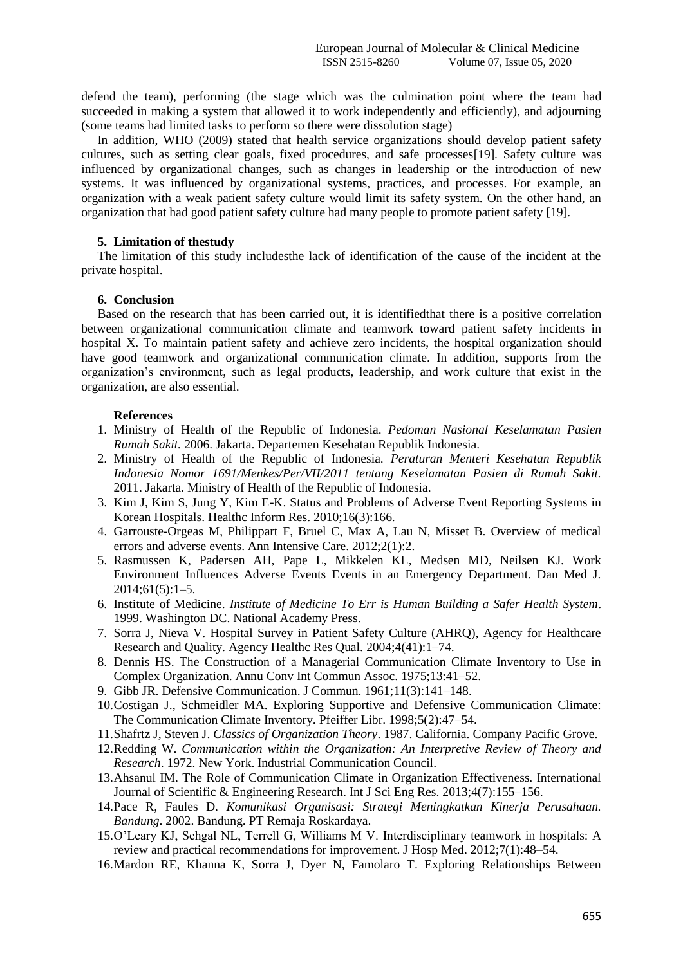defend the team), performing (the stage which was the culmination point where the team had succeeded in making a system that allowed it to work independently and efficiently), and adjourning (some teams had limited tasks to perform so there were dissolution stage)

In addition, WHO (2009) stated that health service organizations should develop patient safety cultures, such as setting clear goals, fixed procedures, and safe processes[19]. Safety culture was influenced by organizational changes, such as changes in leadership or the introduction of new systems. It was influenced by organizational systems, practices, and processes. For example, an organization with a weak patient safety culture would limit its safety system. On the other hand, an organization that had good patient safety culture had many people to promote patient safety [19].

### **5. Limitation of thestudy**

The limitation of this study includesthe lack of identification of the cause of the incident at the private hospital.

### **6. Conclusion**

Based on the research that has been carried out, it is identifiedthat there is a positive correlation between organizational communication climate and teamwork toward patient safety incidents in hospital X. To maintain patient safety and achieve zero incidents, the hospital organization should have good teamwork and organizational communication climate. In addition, supports from the organization's environment, such as legal products, leadership, and work culture that exist in the organization, are also essential.

### **References**

- 1. Ministry of Health of the Republic of Indonesia. *Pedoman Nasional Keselamatan Pasien Rumah Sakit.* 2006. Jakarta. Departemen Kesehatan Republik Indonesia.
- 2. Ministry of Health of the Republic of Indonesia. *Peraturan Menteri Kesehatan Republik Indonesia Nomor 1691/Menkes/Per/VII/2011 tentang Keselamatan Pasien di Rumah Sakit.* 2011. Jakarta. Ministry of Health of the Republic of Indonesia.
- 3. Kim J, Kim S, Jung Y, Kim E-K. Status and Problems of Adverse Event Reporting Systems in Korean Hospitals. Healthc Inform Res. 2010;16(3):166.
- 4. Garrouste-Orgeas M, Philippart F, Bruel C, Max A, Lau N, Misset B. Overview of medical errors and adverse events. Ann Intensive Care. 2012;2(1):2.
- 5. Rasmussen K, Padersen AH, Pape L, Mikkelen KL, Medsen MD, Neilsen KJ. Work Environment Influences Adverse Events Events in an Emergency Department. Dan Med J. 2014;61(5):1–5.
- 6. Institute of Medicine. *Institute of Medicine To Err is Human Building a Safer Health System*. 1999. Washington DC. National Academy Press.
- 7. Sorra J, Nieva V. Hospital Survey in Patient Safety Culture (AHRQ), Agency for Healthcare Research and Quality. Agency Healthc Res Qual. 2004;4(41):1–74.
- 8. Dennis HS. The Construction of a Managerial Communication Climate Inventory to Use in Complex Organization. Annu Conv Int Commun Assoc. 1975;13:41–52.
- 9. Gibb JR. Defensive Communication. J Commun. 1961;11(3):141–148.
- 10.Costigan J., Schmeidler MA. Exploring Supportive and Defensive Communication Climate: The Communication Climate Inventory. Pfeiffer Libr. 1998;5(2):47–54.
- 11.Shafrtz J, Steven J. *Classics of Organization Theory*. 1987. California. Company Pacific Grove.
- 12.Redding W. *Communication within the Organization: An Interpretive Review of Theory and Research*. 1972. New York. Industrial Communication Council.
- 13.Ahsanul IM. The Role of Communication Climate in Organization Effectiveness. International Journal of Scientific & Engineering Research. Int J Sci Eng Res. 2013;4(7):155–156.
- 14.Pace R, Faules D. *Komunikasi Organisasi: Strategi Meningkatkan Kinerja Perusahaan. Bandung*. 2002. Bandung. PT Remaja Roskardaya.
- 15.O'Leary KJ, Sehgal NL, Terrell G, Williams M V. Interdisciplinary teamwork in hospitals: A review and practical recommendations for improvement. J Hosp Med. 2012;7(1):48–54.
- 16.Mardon RE, Khanna K, Sorra J, Dyer N, Famolaro T. Exploring Relationships Between